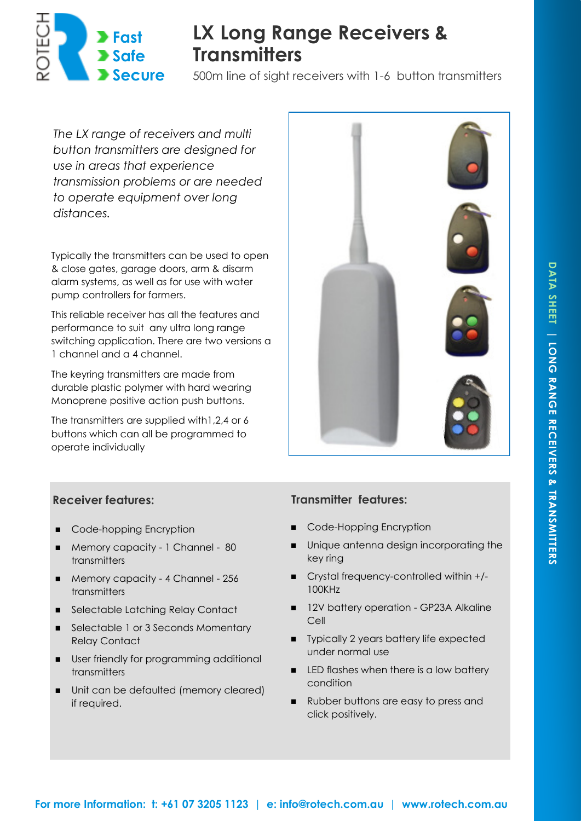

# **LX Long Range Receivers & Transmitters**

500m line of sight receivers with 1-6 button transmitters

*The LX range of receivers and multi button transmitters are designed for use in areas that experience transmission problems or are needed to operate equipment over long distances.* 

Typically the transmitters can be used to open & close gates, garage doors, arm & disarm alarm systems, as well as for use with water pump controllers for farmers.

This reliable receiver has all the features and performance to suit any ultra long range switching application. There are two versions a 1 channel and a 4 channel.

The keyring transmitters are made from durable plastic polymer with hard wearing Monoprene positive action push buttons.

The transmitters are supplied with1,2,4 or 6 buttons which can all be programmed to operate individually



## **Receiver features:**

- Code-hopping Encryption
- Memory capacity 1 Channel 80 transmitters
- Memory capacity 4 Channel 256 transmitters
- Selectable Latching Relay Contact
- Selectable 1 or 3 Seconds Momentary Relay Contact
- User friendly for programming additional transmitters
- Unit can be defaulted (memory cleared) if required.

## **Transmitter features:**

- Code-Hopping Encryption
- **IDURIER INTERNATION** Unique antenna design incorporating the key ring
- Crystal frequency-controlled within +/-100KHz
- 12V battery operation GP23A Alkaline Cell
- **Typically 2 years battery life expected** under normal use
- LED flashes when there is a low battery condition
- Rubber buttons are easy to press and click positively.